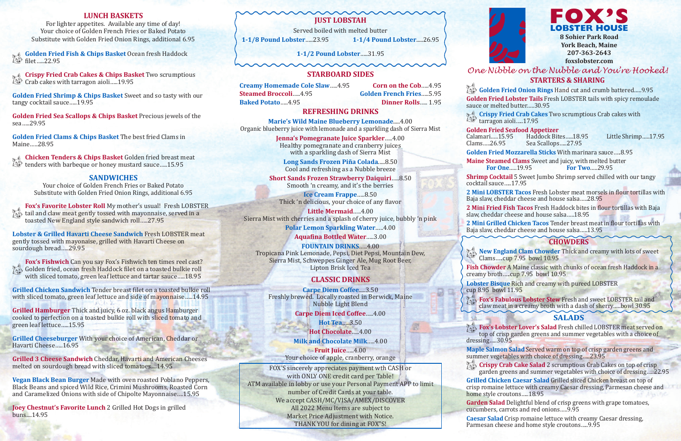## *One Nibble on the Nubble and You're Hooked!* **STARTERS & SHARING**



Golden Fried Onion Rings Hand cut and crumb battered.....9.95 **Golden Fried Lobster Tails** Fresh LOBSTER tails with spicy remoulade sauce or melted butter…..30.95

**Crispy Fried Crab Cakes** Two scrumptious Crab cakes with tarragon aioli…..17.95

#### **Golden Fried Seafood Appetizer**

Calamari.....15.95 Haddock Bites.....18.95 Little Shrimp.....17.95<br>Clams.....26.95 Sea Scallops.....27.95 Sea Scallops.....27.95

**Golden Fried Mozzarella Sticks** With marinara sauce…..8.95

**Maine Steamed Clams** Sweet and juicy, with melted butter<br>For One.....19.95 For Two.....29.95 **For Two.....29.95** 

**Shrimp Cocktail** 5 Sweet Jumbo Shrimp served chilled with our tangy

**Fox's Lobster Lover's Salad** Fresh chilled LOBSTER meat served on top of crisp garden greens and summer vegetables with a choice of dressing…..30.95

**Crispy Crab Cake Salad** 2 scrumptious Crab Cakes on top of crisp garden greens and summer vegetables with choice of dressing.....22.95

cocktail sauce…..17.95

**2 Mini LOBSTER Tacos** Fresh Lobster meat morsels in flour tortillas with Baja slaw, cheddar cheese and house salsa…..28.95

**2 Mini Fried Fish Tacos** Fresh Haddock bites in flour tortillas with Baja slaw, cheddar cheese and house salsa…..18.95

**New England Clam Chowder** Thick and creamy with lots of sweet Clams…..cup 7.95 bowl 10.95

**2 Mini Grilled Chicken Tacos** Tender breast meat in flour tortillas with Baja slaw, cheddar cheese and house salsa…..13.95

### **SALADS**

**Maple Salmon Salad** Served warm on top of crisp garden greens and summer vegetables with choice of dressing…..23.95

**Golden Fried Fish & Chips Basket** Ocean fresh Haddock  $\mathbb{R}$  Golden France

**Crispy Fried Crab Cakes & Chips Basket** Two scrumptious Crab cakes with tarragon aioli.....19.95

> **Grilled Chicken Caesar Salad** Grilled sliced Chicken breast on top of crisp romaine lettuce with creamy Caesar dressing, Parmesan cheese and home style croutons…..18.95

**Chicken Tenders & Chips Basket** Golden fried breast meat tenders with barbeque or honey mustard sauce.....15.95

> **Garden Salad** Delightful blend of crisp greens with grape tomatoes, cucumbers, carrots and red onions…..9.95

**Caesar Salad** Crisp romaine lettuce with creamy Caesar dressing, Parmesan cheese and home style croutons…..9.95

**Fox's Fishwich** Can you say Fox's Fishwich ten times reel cast? Golden fried, ocean fresh Haddock filet on a toasted bulkie roll with sliced tomato, green leaf lettuce and tartar sauce…..18.95

### **CHOWDERS**

**Fish Chowder** A Maine classic with chunks of ocean fresh Haddock in a creamy broth…..cup 7.95 bowl 10.95

**Lobster Bisque** Rich and creamy with pureed LOBSTER

cup 8.95 bowl 11.95

**Fox's Fabulous Lobster Stew** Fresh and sweet LOBSTER tail and claw meat in a creamy broth with a dash of sherry…..bowl 30.95

**1-1/2 Pound Lobster**…..31.95  $\sim$ 

FOX'S sincerely appreciates payment wth CASH or with ONLY ONE credit card per Table! ATM available in lobby or use your Personal Payment APP to limit number of Credit Cards at your table. We accept CASH/MC/VISA/AMEX/DISCOVER All 2022 Menu Items are subject to Market Price Adjustment with Notice. THANK YOU for dining at FOX"S!



#### **LUNCH BASKETS**

For lighter appetites. Available any time of day! Your choice of Golden French Fries or Baked Potato Substitute with Golden Fried Onion Rings, additional 6.95

**Golden Fried Shrimp & Chips Basket** Sweet and so tasty with our tangy cocktail sauce…..19.95

**Golden Fried Sea Scallops & Chips Basket** Precious jewels of the sea…..29.95

**Golden Fried Clams & Chips Basket** The best fried Clams in Maine…..28.95

#### **SANDWICHES**

Your choice of Golden French Fries or Baked Potato Substitute with Golden Fried Onion Rings, additional 6.95

**Fox's Favorite Lobster Roll** My mother's usual! Fresh LOBSTER tail and claw meat gently tossed with mayonnaise, served in a toasted New England style sandwich roll…..27.95

**Lobster & Grilled Havarti Cheese Sandwich** Fresh LOBSTER meat gently tossed with mayonaise, grilled with Havarti Cheese on sourdough bread…..29.95

**Grilled Chicken Sandwich** Tender breast filet on a toasted bulkie roll with sliced tomato, green leaf lettuce and side of mayonnaise…..14.95

**Grilled Hamburger** Thick and juicy, 6 oz. black angus Hamburger cooked to perfection on a toasted bulkie roll with sliced tomato and green leaf lettuce…..15.95

**Grilled Cheeseburger** With your choice of American, Cheddar or Havarti Cheese…..16.95

**Grilled 3 Cheese Sandwich** Cheddar, Havarti and American Cheeses melted on sourdough bread with sliced tomatoes....14.95

**Vegan Black Bean Burger** Made with oven roasted Poblano Peppers, Black Beans and spiced Wild Rice, Crimini Mushrooms, Roasted Corn and Caramelized Onions with side of Chipolte Mayonnaise….15.95

**Joey Chestnut's Favorite Lunch** 2 Grilled Hot Dogs in grilled buns....14.95

### **JUST LOBSTAH**

Served boiled with melted butter **1-1/8 Pound Lobster**…..23.95 **1-1/4 Pound Lobster**.....26.95

#### **STARBOARD SIDES**

**Creamy Homemade Cole Slaw.....4.95 <b>Corn on the Cob.....4.95**<br>**Colden French Fries.....5.95 Baked Potato….. 4.95** 

**Golden French Fries.....5.95<br><b>Dinner Rolls**…... 1.95

#### **REFRESHING DRINKS**

**Marie's Wild Maine Blueberry Lemonade**.....4.00 Organic blueberry juice with lemonade and a sparkling dash of Sierra Mist

> **Jenna's Pomegranate Juice Sparkler**…..4.00 Healthy pomegranate and cranberry juices with a sparkling dash of Sierra Mist

**Long Sands Frozen Piña Colada**.....8.50 Cool and refreshing as a Nubble breeze

**Short Sands Frozen Strawberry Daiquiri**…..8.50 Smooth 'n creamy, and it's the berries

**Ice Cream Frappe**…..8.50 Thick 'n delicious, your choice of any flavor

**Little Mermaid**…..4.00 Sierra Mist with cherries and a splash of cherry juice, bubbly 'n pink **Polar Lemon Sparkling Water**…..4.00

**Aquafina Bottled Water**…..3.00

**FOUNTAIN DRINKS**…..4.00 Tropicana Pink Lemonade, Pepsi, Diet Pepsi, Mountain Dew, Sierra Mist, Schweppes Ginger Ale, Mug Root Beer, Lipton Brisk Iced Tea

#### **CLASSIC DRINKS**

**Carpe Diem Coffee**.....3.50 Freshly brewed. Locally roasted in Berwick, Maine Nubble Light Blend

**Carpe Diem Iced Coffee**…..4.00

**Hot Tea**…..3.50 **Hot Chocolate**…..4.00 **Milk and Chocolate Milk**…..4.00 **Fruit Juice**…..4.00

Your choice of apple, cranberry, orange